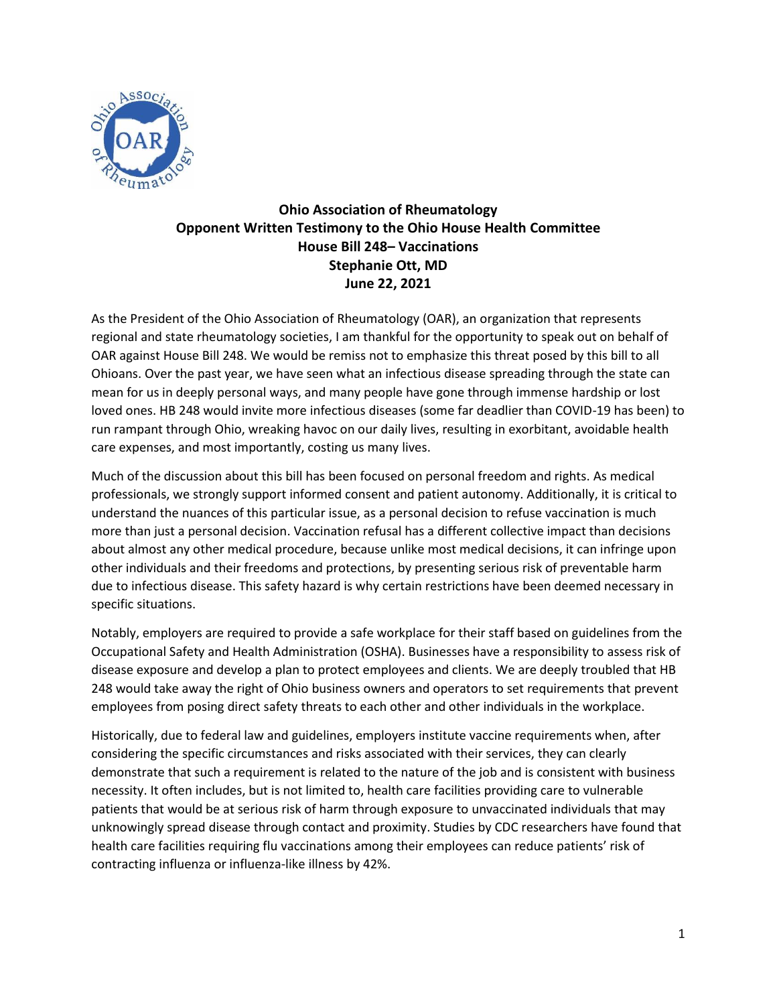

## **Ohio Association of Rheumatology Opponent Written Testimony to the Ohio House Health Committee House Bill 248– Vaccinations Stephanie Ott, MD June 22, 2021**

As the President of the Ohio Association of Rheumatology (OAR), an organization that represents regional and state rheumatology societies, I am thankful for the opportunity to speak out on behalf of OAR against House Bill 248. We would be remiss not to emphasize this threat posed by this bill to all Ohioans. Over the past year, we have seen what an infectious disease spreading through the state can mean for us in deeply personal ways, and many people have gone through immense hardship or lost loved ones. HB 248 would invite more infectious diseases (some far deadlier than COVID-19 has been) to run rampant through Ohio, wreaking havoc on our daily lives, resulting in exorbitant, avoidable health care expenses, and most importantly, costing us many lives.

Much of the discussion about this bill has been focused on personal freedom and rights. As medical professionals, we strongly support informed consent and patient autonomy. Additionally, it is critical to understand the nuances of this particular issue, as a personal decision to refuse vaccination is much more than just a personal decision. Vaccination refusal has a different collective impact than decisions about almost any other medical procedure, because unlike most medical decisions, it can infringe upon other individuals and their freedoms and protections, by presenting serious risk of preventable harm due to infectious disease. This safety hazard is why certain restrictions have been deemed necessary in specific situations.

Notably, employers are required to provide a safe workplace for their staff based on guidelines from the Occupational Safety and Health Administration (OSHA). Businesses have a responsibility to assess risk of disease exposure and develop a plan to protect employees and clients. We are deeply troubled that HB 248 would take away the right of Ohio business owners and operators to set requirements that prevent employees from posing direct safety threats to each other and other individuals in the workplace.

Historically, due to federal law and guidelines, employers institute vaccine requirements when, after considering the specific circumstances and risks associated with their services, they can clearly demonstrate that such a requirement is related to the nature of the job and is consistent with business necessity. It often includes, but is not limited to, health care facilities providing care to vulnerable patients that would be at serious risk of harm through exposure to unvaccinated individuals that may unknowingly spread disease through contact and proximity. Studies by CDC researchers have found that health care facilities requiring flu vaccinations among their employees can reduce patients' risk of contracting influenza or influenza-like illness by 42%.